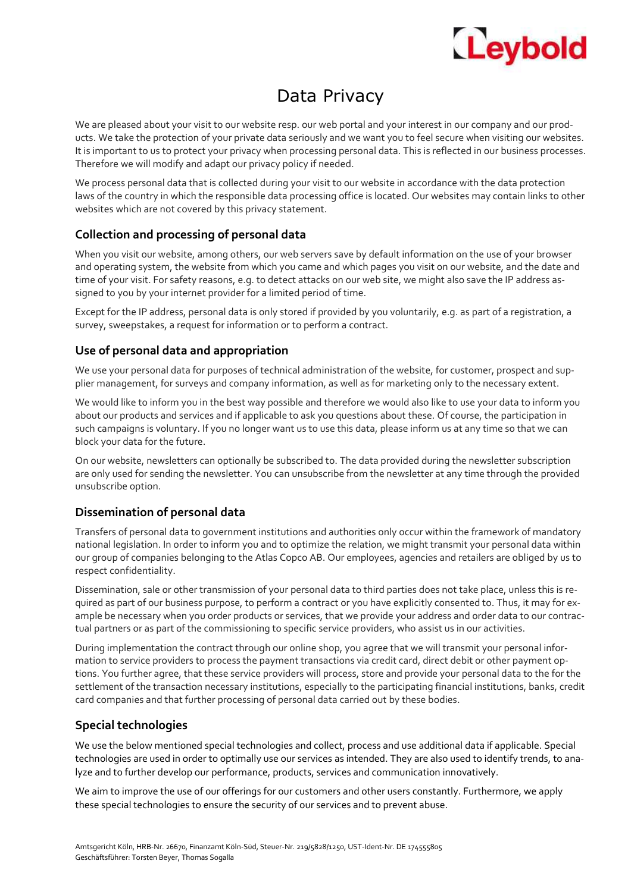# Leybold

### Data Privacy

We are pleased about your visit to our website resp. our web portal and your interest in our company and our products. We take the protection of your private data seriously and we want you to feel secure when visiting our websites. It is important to us to protect your privacy when processing personal data. This is reflected in our business processes. Therefore we will modify and adapt our privacy policy if needed.

We process personal data that is collected during your visit to our website in accordance with the data protection laws of the country in which the responsible data processing office is located. Our websites may contain links to other websites which are not covered by this privacy statement.

#### **Collection and processing of personal data**

When you visit our website, among others, our web servers save by default information on the use of your browser and operating system, the website from which you came and which pages you visit on our website, and the date and time of your visit. For safety reasons, e.g. to detect attacks on our web site, we might also save the IP address assigned to you by your internet provider for a limited period of time.

Except for the IP address, personal data is only stored if provided by you voluntarily, e.g. as part of a registration, a survey, sweepstakes, a request for information or to perform a contract.

#### **Use of personal data and appropriation**

We use your personal data for purposes of technical administration of the website, for customer, prospect and supplier management, for surveys and company information, as well as for marketing only to the necessary extent.

We would like to inform you in the best way possible and therefore we would also like to use your data to inform you about our products and services and if applicable to ask you questions about these. Of course, the participation in such campaigns is voluntary. If you no longer want us to use this data, please inform us at any time so that we can block your data for the future.

On our website, newsletters can optionally be subscribed to. The data provided during the newsletter subscription are only used for sending the newsletter. You can unsubscribe from the newsletter at any time through the provided unsubscribe option.

#### **Dissemination of personal data**

Transfers of personal data to government institutions and authorities only occur within the framework of mandatory national legislation. In order to inform you and to optimize the relation, we might transmit your personal data within our group of companies belonging to the Atlas Copco AB. Our employees, agencies and retailers are obliged by us to respect confidentiality.

Dissemination, sale or other transmission of your personal data to third parties does not take place, unless this is required as part of our business purpose, to perform a contract or you have explicitly consented to. Thus, it may for example be necessary when you order products or services, that we provide your address and order data to our contractual partners or as part of the commissioning to specific service providers, who assist us in our activities.

During implementation the contract through our online shop, you agree that we will transmit your personal information to service providers to process the payment transactions via credit card, direct debit or other payment options. You further agree, that these service providers will process, store and provide your personal data to the for the settlement of the transaction necessary institutions, especially to the participating financial institutions, banks, credit card companies and that further processing of personal data carried out by these bodies.

#### **Special technologies**

We use the below mentioned special technologies and collect, process and use additional data if applicable. Special technologies are used in order to optimally use our services as intended. They are also used to identify trends, to analyze and to further develop our performance, products, services and communication innovatively.

We aim to improve the use of our offerings for our customers and other users constantly. Furthermore, we apply these special technologies to ensure the security of our services and to prevent abuse.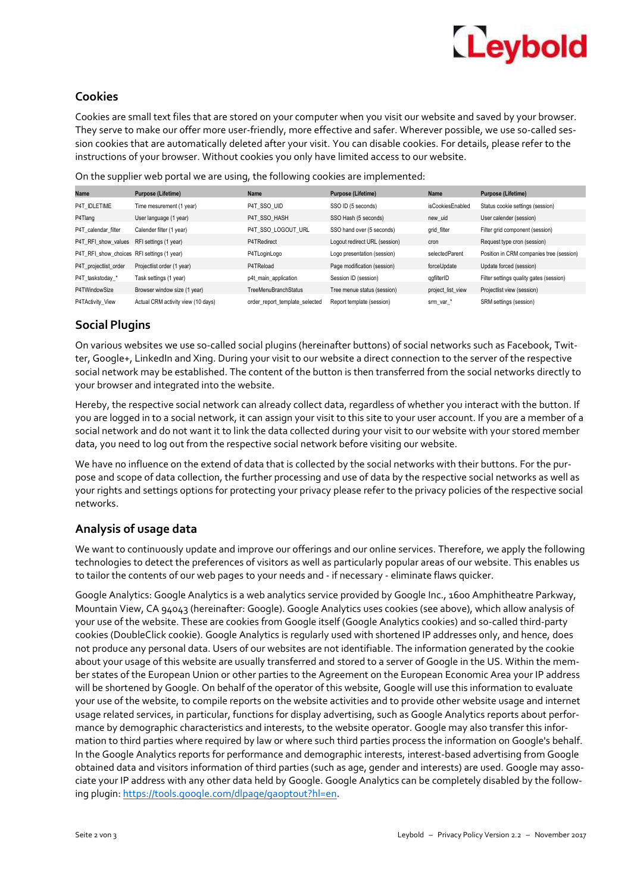## Leybold

#### **Cookies**

Cookies are small text files that are stored on your computer when you visit our website and saved by your browser. They serve to make our offer more user-friendly, more effective and safer. Wherever possible, we use so-called session cookies that are automatically deleted after your visit. You can disable cookies. For details, please refer to the instructions of your browser. Without cookies you only have limited access to our website.

| Name                                       | Purpose (Lifetime)                 | Name                           | Purpose (Lifetime)            | Name              | <b>Purpose (Lifetime)</b>                |
|--------------------------------------------|------------------------------------|--------------------------------|-------------------------------|-------------------|------------------------------------------|
| P4T IDLETIME                               | Time mesurement (1 year)           | P4T SSO UID                    | SSO ID (5 seconds)            | isCookiesEnabled  | Status cookie settings (session)         |
| P4Tlang                                    | User language (1 year)             | P4T SSO HASH                   | SSO Hash (5 seconds)          | new uid           | User calender (session)                  |
| P4T calendar filter                        | Calender filter (1 year)           | P4T_SSO_LOGOUT URL             | SSO hand over (5 seconds)     | grid filter       | Filter grid component (session)          |
| P4T RFI show values                        | RFI settings (1 year)              | P4TRedirect                    | Logout redirect URL (session) | cron              | Request type cron (session)              |
| P4T RFI show choices RFI settings (1 year) |                                    | P4TLoginLogo                   | Logo presentation (session)   | selectedParent    | Position in CRM companies tree (session) |
| P4T projectlist order                      | Projectlist order (1 year)         | P4TReload                      | Page modification (session)   | forceUpdate       | Update forced (session)                  |
| P4T taskstoday *                           | Task settings (1 year)             | p4t main application           | Session ID (session)          | qqfilterID        | Filter settings quality gates (session)  |
| P4TWindowSize                              | Browser window size (1 year)       | <b>TreeMenuBranchStatus</b>    | Tree menue status (session)   | project_list_view | Projectlist view (session)               |
| P4TActivity View                           | Actual CRM activity view (10 days) | order report template selected | Report template (session)     | srm_var_*         | SRM settings (session)                   |
|                                            |                                    |                                |                               |                   |                                          |

On the supplier web portal we are using, the following cookies are implemented:

### **Social Plugins**

On various websites we use so-called social plugins (hereinafter buttons) of social networks such as Facebook, Twitter, Google+, LinkedIn and Xing. During your visit to our website a direct connection to the server of the respective social network may be established. The content of the button is then transferred from the social networks directly to your browser and integrated into the website.

Hereby, the respective social network can already collect data, regardless of whether you interact with the button. If you are logged in to a social network, it can assign your visit to this site to your user account. If you are a member of a social network and do not want it to link the data collected during your visit to our website with your stored member data, you need to log out from the respective social network before visiting our website.

We have no influence on the extend of data that is collected by the social networks with their buttons. For the purpose and scope of data collection, the further processing and use of data by the respective social networks as well as your rights and settings options for protecting your privacy please refer to the privacy policies of the respective social networks.

#### **Analysis of usage data**

We want to continuously update and improve our offerings and our online services. Therefore, we apply the following technologies to detect the preferences of visitors as well as particularly popular areas of our website. This enables us to tailor the contents of our web pages to your needs and - if necessary - eliminate flaws quicker.

Google Analytics: Google Analytics is a web analytics service provided by Google Inc., 1600 Amphitheatre Parkway, Mountain View, CA 94043 (hereinafter: Google). Google Analytics uses cookies (see above), which allow analysis of your use of the website. These are cookies from Google itself (Google Analytics cookies) and so-called third-party cookies (DoubleClick cookie). Google Analytics is regularly used with shortened IP addresses only, and hence, does not produce any personal data. Users of our websites are not identifiable. The information generated by the cookie about your usage of this website are usually transferred and stored to a server of Google in the US. Within the member states of the European Union or other parties to the Agreement on the European Economic Area your IP address will be shortened by Google. On behalf of the operator of this website, Google will use this information to evaluate your use of the website, to compile reports on the website activities and to provide other website usage and internet usage related services, in particular, functions for display advertising, such as Google Analytics reports about performance by demographic characteristics and interests, to the website operator. Google may also transfer this information to third parties where required by law or where such third parties process the information on Google's behalf. In the Google Analytics reports for performance and demographic interests, interest-based advertising from Google obtained data and visitors information of third parties (such as age, gender and interests) are used. Google may associate your IP address with any other data held by Google. Google Analytics can be completely disabled by the following plugin: https://tools.google.com/dlpage/gaoptout?hl=en.